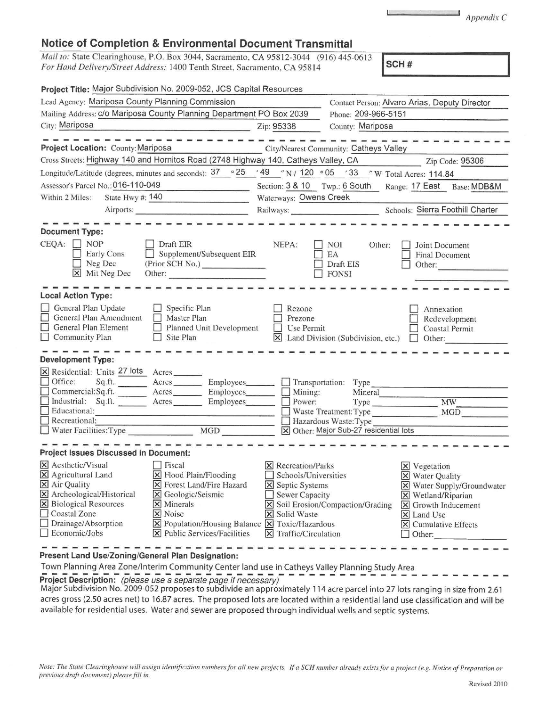| Note: The State Clearinghouse will assign identification numbers for all new projects. If a SCH number already exists for a project (e.g. Notice of Preparation or<br>previous draft document) please fill in. |              |
|----------------------------------------------------------------------------------------------------------------------------------------------------------------------------------------------------------------|--------------|
|                                                                                                                                                                                                                | Revised 2010 |

Town Planning Area Zone/Interim Community Center land use in Catheys Valley Planning Study Area<br>**Project Description:** (please use a separate page if necessary) **Project Description:** (please use a separate page if necessary)<br>Major Subdivision No. 2009-052 proposes to subdivide an approximately 114 acre parcel into 27 lots ranging in size from 2.61 acres gross (2.50 acres net) to 16.87 acres. The proposed lots are located within a residential land use classification and will be

available for residential uses. Water and sewer are proposed through individual wells and septic systems.

**Present Land Use/Zoning/General Plan Designation:** 

## **Notice of Completion & Environmental Document Transmittal**

*Mail to:* State Clearinghouse, P.O. Box 3044, Sacramento, CA 95812-3044 (916) 445-0613 *For Hand Delivery/Street Address:* 1400 Tenth Street, Sacramento, CA 95814 **SCA SCAL SCALE SCALE SCALE SCALE SCALE SCALE SCALE SCALE SCALE SCALE SCALE SCALE SCALE SCALE SCAL** 

| Project Title: Major Subdivision No. 2009-052, JCS Capital Resources                                                                                      |                                        |                                        |                                                                                          |
|-----------------------------------------------------------------------------------------------------------------------------------------------------------|----------------------------------------|----------------------------------------|------------------------------------------------------------------------------------------|
| Lead Agency: Mariposa County Planning Commission                                                                                                          |                                        | Phone: 209-966-5151                    | Contact Person: Alvaro Arias, Deputy Director                                            |
| Mailing Address: c/o Mariposa County Planning Department PO Box 2039<br>City: Mariposa                                                                    |                                        | County: Mariposa                       |                                                                                          |
|                                                                                                                                                           | Zip: 95338                             |                                        |                                                                                          |
| Project Location: County: Mariposa                                                                                                                        |                                        | City/Nearest Community: Catheys Valley |                                                                                          |
| Cross Streets: Highway 140 and Hornitos Road (2748 Highway 140, Catheys Valley, CA                                                                        |                                        |                                        | Zip Code: 95306                                                                          |
| Longitude/Latitude (degrees, minutes and seconds): $\frac{37}{100}$ 25 $\frac{49}{100}$ N / 120 $\degree$ 05 $\degree$ 33 $\degree$ W Total Acres: 114.84 |                                        |                                        |                                                                                          |
| Assessor's Parcel No.: 016-110-049                                                                                                                        |                                        |                                        | Section: 3 & 10 Twp.: 6 South Range: 17 East Base: MDB&M                                 |
| State Hwy #: 140<br>Within 2 Miles:                                                                                                                       | Waterways: Owens Creek                 |                                        |                                                                                          |
| Airports:                                                                                                                                                 |                                        |                                        | Schools: Sierra Foothill Charter                                                         |
|                                                                                                                                                           |                                        |                                        |                                                                                          |
| <b>Document Type:</b>                                                                                                                                     |                                        |                                        |                                                                                          |
| CEQA:<br><b>NOP</b><br>Draft EIR<br>Supplement/Subsequent EIR<br>Early Cons                                                                               | NEPA:                                  | <b>NOI</b><br>Other:<br>EA             | Joint Document<br><b>Final Document</b>                                                  |
| Neg Dec<br>(Prior SCH No.)                                                                                                                                |                                        | Draft EIS                              | Other:                                                                                   |
| X Mit Neg Dec<br>Other:                                                                                                                                   |                                        | <b>FONSI</b>                           |                                                                                          |
|                                                                                                                                                           |                                        |                                        |                                                                                          |
| <b>Local Action Type:</b>                                                                                                                                 |                                        |                                        |                                                                                          |
| General Plan Update<br>Specific Plan<br>$\Box$<br>General Plan Amendment<br>Master Plan                                                                   | Rezone<br>Prezone                      |                                        | Annexation<br>Redevelopment                                                              |
| General Plan Element<br>Planned Unit Development<br>П                                                                                                     | Use Permit                             |                                        | Coastal Permit                                                                           |
| Community Plan<br>Site Plan<br>$\mathbf{I}$                                                                                                               | $\vert \times \vert$                   | Land Division (Subdivision, etc.)      | Other:                                                                                   |
|                                                                                                                                                           |                                        |                                        |                                                                                          |
| <b>Development Type:</b>                                                                                                                                  |                                        |                                        |                                                                                          |
| X Residential: Units 27 lots Acres<br>$\Box$ Office:<br>Sq.ft.<br>Acres<br>Employees______                                                                |                                        | Transportation: Type                   |                                                                                          |
| Commercial:Sq.ft. Acres Employees                                                                                                                         | Mining:                                | Mineral                                |                                                                                          |
| Industrial: Sq.ft. Acres<br>Employees                                                                                                                     | Power:                                 |                                        | <b>MW</b>                                                                                |
| Educational:                                                                                                                                              |                                        | Waste Treatment: Type                  | MGD                                                                                      |
| Recreational:                                                                                                                                             |                                        | Hazardous Waste: Type                  |                                                                                          |
|                                                                                                                                                           |                                        | X Other: Major Sub-27 residential lots |                                                                                          |
| <b>Project Issues Discussed in Document:</b>                                                                                                              |                                        |                                        |                                                                                          |
| X Aesthetic/Visual<br>Fiscal                                                                                                                              | <b>X</b> Recreation/Parks              |                                        | $\times$ Vegetation                                                                      |
| X Agricultural Land<br>X Flood Plain/Flooding                                                                                                             | Schools/Universities                   |                                        | X Water Quality                                                                          |
| X Air Quality<br>Forest Land/Fire Hazard<br>$\vert x \vert$                                                                                               | Septic Systems<br>$\vert \times \vert$ |                                        | Water Supply/Groundwater<br>$\vert \times \vert$                                         |
| X Archeological/Historical<br>X Geologic/Seismic                                                                                                          | Sewer Capacity                         |                                        | Wetland/Riparian<br>$\mathsf{\times}$                                                    |
| X Biological Resources<br>$\times$ Minerals                                                                                                               |                                        | X Soil Erosion/Compaction/Grading      | Growth Inducement<br>$\pmb{\times}$                                                      |
| Coastal Zone<br>X Noise<br>Drainage/Absorption<br>X Population/Housing Balance X Toxic/Hazardous                                                          | X Solid Waste                          |                                        | $\overline{\mathsf{x}}$<br>Land Use<br>$\vert \times \vert$<br><b>Cumulative Effects</b> |
| $\Box$ Economic/Jobs<br>$\overline{\mathsf{X}}$ Public Services/Facilities                                                                                | $\times$ Traffic/Circulation           |                                        | Other:                                                                                   |
|                                                                                                                                                           |                                        |                                        |                                                                                          |

 $\sim 1000$  and  $\sim 1000$ *Appendix* C